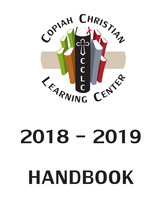

# 2018 - 2019 HANDBOOK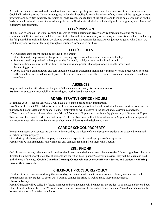All matters cannot be covered in the handbook and decisions regarding such will be at the discretion of the administration. Copiah Christian Learning Center hereby gives notice that its policy is to admit students of any race to all the rights, privileges, programs, and activities generally accredited or made available to students at the school, and to make no discrimination on the basis of race in administration of educational policies, application for admission, scholarship or loan programs, and athletic and extracurricular programs.

# **CCLC's MISSION**

The mission of Copiah Christian Learning Center is to foster a caring and creative environment emphasizing the social, emotional, intellectual and spiritual development of each child. As a community of learners, we strive for excellence, unlocking the full potential of each individual, developing confident and independent learners. As we journey together with Christ, we seek the joy and wonder of learning through celebrating God's love in our lives.

# **CCLC's BELIEFS**

- A Christian atmosphere should be provided for learning.
- Students should be provided with a positive learning experience within a safe, comfortable facility.
- Students should be provided with opportunities for moral, social, spiritual, and cultural growth.
- Teachers should set clear goals with high expectations and present challenges for all students throughout the learning process.
- Every student is an individual, and care should be taken in addressing individual learning styles and needs when possible.
- Self-evaluations of our educational process should be conducted in an effort to ensure current and competitive academic excellence.

# **ABSENCES**

Regular and punctual attendance on the part of all students is necessary for success in school. **Students** must assume responsibility for making up work missed when absent.

# **ADMINISTRATIVE OFFICE / HOURS**

Beginning 2018-19 school year CCLC will have a designated office and Administrator.

Lisa Smith, the new CCLC Administrator, will be at school daily. Contact the administrator for any questions or concerns that need to be addressed during school hours. Administration will be active in the school and classrooms as needed.

Office hours will be as follows: Monday - Friday 7:30 a.m  $-1:00$  p.m (in school) and by phone only 1:00 p.m - 6:00 p.m. Teachers can be contacted when needed before 6:30 p.m. Teachers will not take calls after 6:30 p.m unless arrangements are made for needs that cannot be addressed about your child(ren) in the designated time.

# **CARE OF SCHOOL PROPERTY**

Because maintenance expenses are drastically increased by the misuse of school property, students are expected to maintain all school-owned property.

Litter destroys the beauty of the campus, so students are expected to use the proper trash receptacles.

Parents will be held financially responsible for any damages resulting from their child's actions.

# **CELL PHONE**

Cell phones and/or any other electronic devices should remain in designated areas, i.e. the student's book bag unless otherwise directed by a member of the faculty. If students are caught with cell phones/ electronic devices, they will be taken and held until the end of the day. **Copiah Christian Learning Center will not be responsible for devices and students will bring them at their own risk.**

# **CHECK-OUT PROCEDURE/POLICY**

If a student must leave school during the school day, the parent must come to campus or call a faculty member and make arrangements for the student to check out. You may contact the office as well to make these arrangements.

### **Illness or Injury**

Parent/Guardian will be called by faculty member and arrangements will be made for the student to be picked up/checked out. Student must be free of fever for 24 hours before returning to school. In case of an emergency and Parent/Guardian cannot be located, students will be taken to a doctor.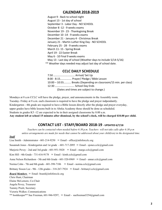### **CALENDAR 2018-2019**

August 9 - Back to school night August 13 - 1st day of school September 3 - Labor Day - NO SCHOOL October 8 -12 - 9 weeks exams November 19 - 23 - Thanksgiving Break December 10 -14 - 9 weeks exams December 21 - January 4 - Christmas Break January 21 - Martin Luther King Day - NO SCHOOL February 25 - 28 - 9 weeks exams March 11- 15 - Spring Break April 19 - 22 Easter Break May 6 - 10 Final 9 weeks exams May 13 - Last day of school (Weather days to include 5/14-5/16) \*\* Weather days needed may adjust last day of school date.

# **CCLC DAILY SCHEDULE**

| 7:50  Arrival/ Set Up                                           |
|-----------------------------------------------------------------|
| 8:00 - 8:15 Prayer/ Pledge / Bible Lesson                       |
| 10:00 – 10:55 Breaks (Depending on classroom/15 min. per class) |
| 12:30  School Day Ends                                          |
| (Dates and times are subject to change.)                        |

Mondays at 8 a.m CCLC will have the pledge, prayer, and announcements in the Assembly room. Tuesday- Friday at 8 a.m. each classroom is required to have the pledge and prayer indpendantly. Kindergarten - 4th grade are required to have a Bible lesson directly after the pledge and prayer everyday, upper grades have bible lessons built in to Abeka Academy those should be done as scheduled. Students in grades K5 -12 are expected to be in their assigned classrooms by 8:00 a.m. **Any student left at school 15 minutes after dismissal, by the school's clock, will be charged \$10.00 per child.**

### **CONTACT LIST - STAFF/BOARD 2018-19 - UPDATED 6/7/18**

*Teachers can be contacted when needed before 6:30 p.m. Teachers will not take calls after 6:30 p.m* unless arrangements are made for needs that cannot be addressed about your child( $ren$ ) in the designated time. *Staf* Lisa Smith - Administrator - 601-214-9250  $\approx$  Email - office@infoforcclc.org Susannah Jones - Kindergarten and 1st grade - 601-717-2095  $\approx$  Email - sjones.cclc@gmail.com Marjorie Pevey - 2nd and 3rd grade - 601-951-5820  $\approx$  Email - marge.cclc@gmail.com Kim Hill - 4th Grade - 731-616-9178  $\approx$  Email - kimh.cclc@gmail.com Anna Nelson Richardson - 5th and 6th Grade -  $601-520-8969$   $\cong$  Email - annar.cclc@gmail.com Norma Cohn - 7th and 8th grade - 601-398-7106 ✉ Email - norma.cclc@gmail.com Brittany Sisson Lee - 9th - 12th grades - 318-267-7924  $\approx$  Email - brittanyl.cclc@gmail.com *Board Members*  $\infty$  Email -board@infoforcclc.org Chris Hunt, Chairman Elaine McLemore, Co-Chair Angela Pevey, Treasurer Tammy Pruitt, Secretary Victoria Walker, Communications \*\* bookkeeper\*\* Sue Freeman, 601-946-9297,  $\Xi$  Email - suefreeman5254@gmail.com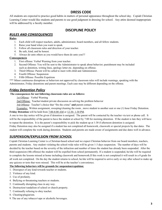# **DRESS CODE**

All students are expected to practice good habits in matters of personal appearance throughout the school day. Copiah Christian Learning Center would like students and parents to use good judgment in dressing for school. Any attire deemed inappropriate will be addressed by a faculty member.

# **DISCIPLINE POLICY**

### *RULES AND CONSEQUENCES*

### **Rules**

- 1. Each child will respect teachers, adults, administrator, board members, and all fellow students.
- 2. Raise your hand when you want to speak.
- 3. Follow all classroom rules and direction of your teacher.
- 4. Be safe, kind, and be honest.
- 5. Always do unto others as you would have them do unto you!!!

### **Consequences**

- 1. First offense: Verbal Warning from your teacher.
- 2. Second Offense: You will be sent to the Administrator to speak about behavior; punishment may be included such as detention, writing lines, apology letter etc. depending on offense.
- 3. Third Offense: Parent will be called to meet with child and Administrator.
- 4. Fourth Offense: Suspension
- 5. Fifth Offense: Possible Expulsion

\*\*\* Minor continuous disruptions or behaviors not approved by classroom rules will include warnings, speaking with the Administrator, Friday detentions and parent meetings. Each case may be different depending on the offense.

# *Friday Detention Policy*

**The consequences for not following classroom rules are as follows:**

1st Offense: Verbal Warning

2nd Offense: Teacher/student private discussion on solving the problem behavior

3rd Offense: Teacher's choice that "fits the crime" **and** parent contact.

Examples: Written assignment, sweeping/cleaning the room , move student to another seat or one (1) hour Friday Detention. **Friday Detention** will be held from 7:00-8:00 AM or 12:30- 1:30 PM.

A one to two day notice will be given if detention is assigned. The parent will be contacted by the teacher via text or phone call. It will be the responsibility of the parent to have the student at school by 7:00 for morning detention. If the student is late they will have to repeat the detention. It is the parent's responsibility to pick the student up at 1:30 if afternoon detention is assigned.

Friday Detention may also be assigned if a student has not completed all homework, classwork or special projects by due dates. The student will complete the work during detention. Students and parents are made aware of assignments and due dates well in advance.

# *SUSPENSION/EXPULSION FROM SCHOOL*

Copiah Christian Learning Center is a Christian-based school and we expect Christian behavior from our board members, teachers, parents and students. Any student violating the school-wide rules will be given 1-3 days suspension. The number of days will be decided by the teacher based on the severity of the infraction and number of times the student has already been suspended. After the third suspension (4th offense) the student will be expelled from school permanently. If a student is suspended, he/she will be required to complete the lessons missed at home including classwork and homework.If this work is not completed it will result in a 0 grade for all work not completed. On the day the student returns to school, he/she will be required to arrive early or stay after school to make up any quizzes or tests that were missed. This will be at the teacher's convenience.

### **The following behaviors will be grounds for suspension/expulsion:**

- 1. Disrespect of any kind towards teacher or students.
- 2. Violence of any kind.
- 3. Use of profanity.
- 4. Bullying or threatening teachers or students.
- 5. Continually disrupting class in any way.
- 6. Destruction/vandalism of school or church property.
- 7. Continually refusing to obey teacher.
- 8. Cheating/plagiarism.
- 9. The use of any tobacco/vape or alcoholic beverages.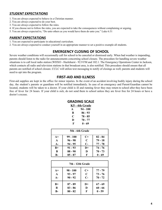# *STUDENT EXPECTATIONS*

- 1. You are always expected to behave in a Christian manner.
- 2. You are always expected to do your best.
- 3. You are always expected to follow the rules.
- 4. If you choose not to follow the rules, you are expected to take the consequences without complaining or arguing.
- 5. You are always expected to, "Do unto others as you would have them do unto you." Luke 6:31

# *PARENT EXPECTATIONS*

1. You are expected to participate in educational curriculum.

2. You are always expected to conduct yourself in an appropriate manner to set a positive example all students.

# **EMERGENCY CLOSING OF SCHOOL**

Severe weather conditions will occasionally call for school to be canceled or dismissed early. When bad weather is impending, parents should listen to the radio for announcements concerning school closure. The procedure for handling severe weather situations is to call local radio station (WDXO - Hazlehurst - 92.9 FM and 102.1. The Emergency Operations Center in Jackson, which contacts all radio and television stations in that broadcast area, is also notified. This procedure should ensure that all parents are notified of school closure. CCLC will utilize text messaging to notify of closings as well; parents and students will need to opt into the program.

# **FIRST-AID AND ILLNESS**

First-aid supplies are kept in the office for minor injuries. In the event of an accident involving bodily injury during the school day, the student's parents or guardians will be notified immediately. In case of an emergency and Parent/Guardian cannot be located, students will be taken to a doctor. If your child is ill and running fever they may return to school after they have been free of fever for 24 hours. If your child is sick, do not send them to school unless they are fever free for 24 hours or have a doctor's excuse.

### **GRADING SCALE**

| K5 - 4th Grade |
|----------------|
| 94 - 100       |
| 86 - 93        |
| 78 - 85        |
| 70 - 77        |
| 0 - 69         |
|                |

| 5th - 6th Grade |            |             |           |
|-----------------|------------|-------------|-----------|
| $A+$            | $99 - 100$ | $C+$        | $82 - 84$ |
| $\mathbf{A}$    | $96 - 98$  | $\mathbf C$ | $79 - 18$ |
| $A-$            | $94 - 95$  | $C-$        | 77 - 78   |
| $R+$            | $91 - 93$  | $D+$        | 74 - 76   |
| B               | $88 - 90$  | D           | $70 - 73$ |
| B-              | $85 - 87$  | F           | $0 - 69$  |

| 7th - 12th Grade |            |                |           |
|------------------|------------|----------------|-----------|
| $A+$             | $98 - 100$ | $C+$           | $77 - 79$ |
| $\mathbf{A}$     | $93 - 97$  | $\overline{C}$ | $73 - 76$ |
| $A -$            | $90 - 92$  | $C-$           | $70 - 72$ |
| $B+$             | $87 - 89$  | $D+$           | $67 - 69$ |
| B                | $83 - 86$  | D              | $60 - 66$ |
| $B-$             | $80 - 82$  | F              | $0 - 59$  |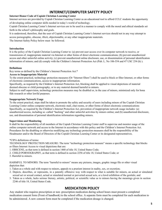# **INTERNET/COMPUTER SAFETY POLICY**

### **Internet Honor Code of Copiah Christian Learning Center**

Internet services are provided by Copiah Christian Learning Center as an educational tool to afford CCLC students the opportunity of developing online computer skills needed in today's world of technology.

Copiah Christian Learning Center's Internet services are to be used in a manner to comply with the moral and ethical standards set forth in the school's philosophy and goals.

It is understood, therefore, that the user of Copiah Christian Learning Center's Internet services should not in any way attempt to access pornographic, obscene, illicit, objectionable, or any other inappropriate materials.

The Internet Safety Policy below must be followed.

### **Introduction**

It is the policy of the Copiah Christian Learning Center to: (a) prevent user access over its computer network to receive, or transmission of, inappropriate material via Internet or other forms of direct electronic communications; (b) prevent unauthorized access and other unlawful online activity; (c) prevent unauthorized online disclosure, use, or dissemination of personal identification information of minors; and (d) comply with the Children's Internet Protection Act (Pub. L. No 106-554 and 47 USC 254 (h) ).

### **Definitions**

Key terms as defined by the Children's Internet Protection Act.\*

### **Access to Inappropriate Material**

To the extent practical, technology protection measures (Or "Internet filters") shall be used to block or filter Internet, or other forms of electronic communications, access to inappropriate information.

Specifically, as required by the Children's Internet Protection Act, blocking shall be applied to visual depictions of material deemed obscene or child pornography, or to any material deemed harmful to minors.

Subject to staff supervision, technology protection measures may be disabled or, in the case of minors, minimized only for bona fide research or other lawful purposes.

### **Inappropriate Network Usage**

To the extent practical, steps shall be taken to promote the safety and security of users including minors of the Copiah Christian Learning Center online computer network, electronic mail, chat rooms, or other forms of direct electronic communications Specifically, as required by the Children's Internet Protection Act, prevention of inappropriate network usage includes: (a) unauthorized access, including so -called "hacking" and other unlawful activities by minors online; and (b) unauthorized disclosure, use, and dissemination of personal identification information regarding minors.

### **Supervision and Monitoring**

It shall be the responsibility of all members of the Copiah Christian Learning Center staff to supervise and monitor usage of the online computer network and access to the Internet in accordance with this policy and the Children's Internet Protection Act. Procedures for the disabling or otherwise modifying any technology protection measures shall be the responsibility of the Headmaster and/or the Board of Directors of the Copiah Christian Learning Center or its designated representatives.

### \*CIPA definitions of terms:

TECHNOLOGY PROTECTION MEASURE: The term "technology protection measure" means a specific technology that blocks or filters Internet Access to visual depictions that are:

1. OBSCENE, as that term is defined in section 1460 of title 18, United States Code;

2. CHILD PORNOGRAPHY, as that term is defined in section 2256 of title 18, United States Code; or

3. Harmful to minors.

HARMFUL TO MINORS: The term "harmful to minors" means any pictures, images, graphic image file or other visual depiction that:

1. Taken as a whole and with respect to minors, appeals to a prurient interest in nudity, sex, or excretion;

- 2. Depicts, describes, or represents, in a patently offensive way with respect to what is suitable for minors, an actual or simulated sexual act or sexual contact, actual or simulated normal or perverted sexual acts, or a lewd exhibition of the genitals; and
- 3. Taken as a whole, lacks serious literary, artistic, political, or scientific value as to minors having the meanings given in section 2246 of title 18, United States Code.

# **MEDICATION POLICY**

Any student who requires prescription or non -prescription medication during school hours must present a completed medication consent form (Front of handbook) to the school office. A separate form must be completed for each medication to be administered. A new consent form must be completed if the medication dosage is changed.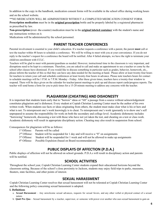In addition to the copy in the handbook, medication consent forms will be available in the school office during working hours and on the school website.

\*\*NO MEDICATION WILL BE ADMINISTERED WITHOUT A COMPLETED MEDICATION CONSENT FORM. **Prescription medication** must be in the **original prescription** bottle and be properly labeled by a registered pharmacist as prescribed by law.

**Non-prescription (**over- the-counter) medication must be in the **original labeled container** with the student's name and any instructions written on it.

Medications will be administered by the school personnel.

# **PARENT TEACHER CONFERENCES**

Parental involvement is essential to your child's education. If a teacher requests a conference with a parent, the parent **must** call or text the teacher within 48 hours to schedule a conference. We will be willing to meet with you at your convenience. If you do not reply to the teacher's request for a conference the board will be notified. After 4 failed attempts, we have the right to terminate your child/ren enrollment with CCLC.

Teachers will be glad to meet with parents/guardians as needed. However, instructional time in the classroom is very important, and disruptions need to be kept to a minimum. Therefore, you are asked to call and make an appointment to see a teacher or come by the school after classes have dismissed. If you would like to discuss something in particular such as grades, behavior, homework, etc., please inform the teacher of this so that they can have any data needed for the meeting at hand. Please allow at least twenty-four hours for teachers to return your call and schedule conferences at least twenty-four hours in advance. Please note teachers hours for contact to schedule meetings will be 1 P.M. to 7 P.M. Monday - Friday. After these given times, teachers have a twenty-four window to respond. There will be days given on the calendar for teacher/parent meetings to pick up and discuss report cards/progress reports. The teacher will send home a form for you to pick times for a 15-20 minute meeting to address any concerns with the teacher.

# **PLAGIARISM (CHEATING) AND DISHONESTY**

It is important that students learn early that to "borrow" ideas or "lift" a passage from a source without acknowledgement constitutes plagiarism and is dishonest. Every student at Copiah Christian Learning Center must be the author of his own written work. When students use facts or ideas originating from others, the student must make clear what is his or hers and what is not. To misrepresent one's work knowingly is to cheat. To misrepresent one's work ignorantly is to show one's self unprepared to assume the responsibility for work on both the secondary and college level. Academic dishonesty includes "borrowing" homework, discussing a test with those who have not yet taken the test, and cheating on a test or class work. Academic dishonesty will result in appropriate disciplinary action. Cheating may also result in suspension from school.

Consequences for plagiarism will be as follows:

| $1st$ Offense: Parents will be called                                                              |
|----------------------------------------------------------------------------------------------------|
| $2nd$ Offense: Student will be suspended for 1 day and will receive a "0" on assignments           |
| $3rd$ Offense: Student will be suspended for 1 week and will not be allowed to make up assignments |
| 4 <sup>th</sup> Offense: Possible Expulsion (based on Board recommendation)                        |

# **PUBLIC DISPLAYS OF AFFECTION (P.D.A.)**

Public displays of affection will not be allowed on school grounds. P.D.A.s will result in disciplinary action and parents will be notified.

# **SCHOOL ACTIVITIES**

Throughout the school year, Copiah Christian Learning Center students expand their educational horizons beyond the classroom setting. Because of the school's close proximity to Jackson, students may enjoy field trips to parks, museums, theaters, state facilities, and other points of interest.

### **SEXUAL HARASSMENT**

Copiah Christian Learning Center resolves that sexual harassment will not be tolerated at Copiah Christian Learning Center and the following policy concerning sexual harassment is adopted.

### **I. Definitions**

- a. **Sexual Harassment** Any unwelcome sexual advances, requests for sexual favors, and any other verbal or physical contact of a sexual nature.
- b. **Quid Pro Quo** Sexual harassment by a teacher, supervisor, or someone with power over another who uses sexual harassment to gain an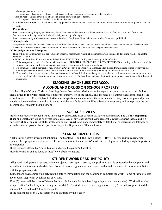advantage over someone else.

Examples: Teacher over Student Headmaster or Board member over Teacher or Other Employee

- c. **Peer to Peer** Sexual harassment of an equal person towards an equal person. Examples: Teacher to Teacher or Student to Student
- d. **Hostile Environment** Sexual harassment by persistent and calculated behavior which makes the school an unpleasant place to work or

### learn. **II. Prohibition**

Sexual harassment by Employees, Teachers, Board Members, or Students is prohibited at school, school functions, or to and from school functions or at or during any school-related activity occurring off campus.

Sexual harassment by students directed towards Teachers, Employees, Board Members, or other Students is prohibited.

### **III. Complaints**

Any person who feels he or she has been or is a victim of sexual harassment must report the sexual harassment immediately to the Headmaster; if the Headmaster is accused of sexual harassment, then the complaint must be filed with the guidance counselor.

### **IV. Investigation and Discipline**

There will be an investigation into the complaint of sexual harassment. An initial determination will be made to determine whether or not the complaint is valid.

- a. If the complaint is valid, the teacher will discipline a **STUDENT** according to the severity of the infraction.
- b. If the complaint is valid, the Board will discipline a **TEACHER, EMPLOYEE, OR STAFF PERSON** according to the severity of the infraction by reprimand for minor cases to suspension or termination for major infractions.
- c. If a complaint is valid, the teacher may prohibit a Parent, Patron, or Other Non-Employee Staff Person from entering school property and/or attending any school functions, and, in the event of a severe infraction the Executive Board may revoke membership in CCLC.
- d. If the teacher is the person accused of sexual harassment, the board shall immediately be reported to and will determine whether an infraction has occurred and what disciplinary action, if any, is to be taken. The board may delegate the investigation process to an impartial third party, if appropriate.

# **SMOKING, SMOKELESS TOBACCO, ALCOHOL AND DRUGS ON SCHOOL PROPERTY**

It is the policy of Copiah Christian Learning Center that students shall not smoke/vape, drink, nor have tobacco, alcohol, or illegal drugs **in their possession** while under the supervision of the school. This includes off-campus events sponsored by the school as well. CCLC would like to further encourage its students to follow the same standards away from campus and present a positive image to the community. Students in violation of this policy will be subject to disciplinary action to protect the best interests of all students and the school.

### **SOCIAL SERVICES**

Professional educators are required by law to report all possible cases of abuse. As quoted in federal law **§ 43-21-353. Reporting abuse or neglect.** Any public or private school employee or any other person having reasonable cause to suspect that a **child** is a **neglected child** or an **abused child**, shall cause an oral **report** to be made immediately by telephone or otherwise and followed as soon thereafter as possible by a **report** in writing to the Department of Human Services.

### **STANDARDIZED TESTS**

Abeka Testing offers assessment solutions. The Stanford 10 and The Iowa Tests® (ITBS®/ITED®), enable educators to evaluate their program's scholastic excellence and measure their students' academic development including insightful post-test interpretation.

These tests are offered by Abeka Testing and are at the parent's discretion.

More information can be found at http://www.abekatesting.org/

# **STUDENT WORK DEADLINE POLICY**

 All graded work (research papers, science projects, book reports, essays, compositions, etc.) is expected to be completed and turned in to the teacher on the date due. Some of these assignments count as test grades and some need to be sent to A Beka with the progress reports.

 Students are given ample time between the date of introduction and the deadline to complete the work. Some of these projects have several steps with deadlines for each step.

 Five (5) points will be taken off the student's grade for each day it is late (beginning on the date it is due). Work will not be accepted after 5 school days (including the due date). The student will receive a grade of zero (0) for that assignment and the comment "Refused to do" beside the grade.

If the student has been ill, due dates will be adjusted by the teacher.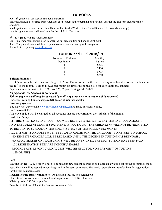# **TEXTBOOKS**

**K5 – 4 th grade** will use Abeka traditional materials.

Textbooks should be ordered from Abeka for each student at the beginning of the school year for the grade the student will be attending.

Kindergarten needs to order the Child Kit as well as God's World K5 and Social Studies K5 books. (Manuscript) 1st - 4th grade students will need to order the child kit. (Cursive)

**5 th – 12 th grade** will use Abeka Academy

5th - 12th grade students will need to order the full grade tuition and books enrollment.

8th - 12th grade students will have required courses issued in yearly welcome packet.

See website for pricing [www.abeka.com](http://www.abeka.com/)

# **TUITION and FEES 2018/19**

| Number of Children | Monthly |
|--------------------|---------|
| Per Family         | Tuition |
|                    | \$225   |
| $\mathcal{D}$      | \$400   |
| 3                  | \$575   |
|                    | \$750   |

### **Tuition Payments**

CCLC's tuition schedule runs from August to May. Tuition is due on the first of every month and is considered late after the 15<sup>th</sup> of the month. Tuition is \$225 per month for first student plus \$175 for each additional student.

Payments must be mailed to: P.O. Box 127, Crystal Springs, MS 39059

### *No payments will be taken at the school.*

### *Tuition payments will only be accepted by mail, any other way of payment will be returned.*

Christian Learning Center charges a **\$20** fee on all returned checks.

### **Internet payments**

You may visit our website [www.infoforcclc.wixsite.com](http://www.infoforcclc.wixsite.com/) to make payments online.

**Late Payment Fee**

A late fee of **\$25** will be charged on all accounts that are not current on the 16th day of the month.

### **Past Due Policy**

AT THIRTY (30) DAYS PAST DUE, YOU WILL RECEIVE A NOTICE TO PAY THE PAST DUE AMOUNT AND THE CURRENT MONTH'S PAYMENT. IF YOU DO NOT THE CHILD(REN) WILL NOT BE PERMITTED TO RETURN TO SCHOOL ON THE FIRST (1ST) DAY OF THE FOLLOWING MONTH.

ALL PAYMENTS AND FEES MUST BE MADE IN ORDER FOR THE CHILD(REN) TO RETURN TO SCHOOL

\* NO SEMESTER GRADES WILL BE RELEASED UNTIL THE DECEMBER TUITION HAS BEEN PAID.

\* NO FINAL GRADES OR TRANSCRIPTS WILL BE GIVEN UNTIL THE MAY TUITION HAS BEEN PAID.

\* ALL REGISTRATION FEES ARE NONREFUNDABLE.

\* RECORDS AND REPORT CARD ACCESS WILL BE HELD FOR NON-PAYMENT OF TUITION AND/OR FEES.

### **Fees**

**Waiting list fee** - A \$25 fee will need to be paid per new student in order to be placed on a waiting list for the upcoming school year. This fee will be applied to your Registration fee upon enrolment. This fee is refundable or transferable after registration for the year has been closed.

**Registration/Re-Registration Fees** - Registration fees are non-refundable.

Students are not considered enrolled until registration fee of \$60.00 is paid.

**K5-1st grade -** \$30.00 supply fee

**Fees for Activities:** All activity fees are non-refundable.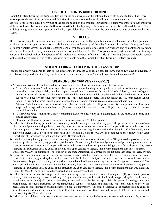# **USE OF GROUNDS AND BUILDINGS**

Copiah Christian Learning Center's facilities are for the exclusive use of the patrons, faculty, staff, and students. The Board must approve the use of the buildings and facilities after normal school hours. At all times, the academic and extracurricular activities of the school have priority use of the school buildings and grounds. Furthermore, a faculty member or other employee of the school **must be present and shall be responsible** for facility usage. At no time will students be allowed the use of the buildings and grounds without appropriate faculty supervision. Use of the campus by outside groups must be approved by the Board.

### **VEHICLES**

The Board of Copiah Christian Learning Center finds and determines that operating a motor vehicle on the school grounds is a privilege and not a right. In order to provide for the safety and security of the school grounds, its students, faculty, and guests, all motor vehicles driven by students entering school grounds are subject to search for weapons and/or contraband by school officials without notice. Any such search may be instituted by the faculty. This policy is adopted as a condition of being a patron at the school and by the adoption of this policy each member of Copiah Christian Learning Center does hereby consent to the search of vehicles driven by their children or students onto the Copiah Christian Learning Center's grounds.

### **VOLUNTEERING TO HELP IN THE CLASSROOM**

Parents are always welcome to help in the classroom. Please, let your child's teacher know one or two days in advance, if possible (not required!), so that they can have some work lined up for you. Your help will be much appreciated!

# **WEAPONS ON CAMPUS - (7-37-17)**

1) Possession of weapons by students; aiding or encouraging. The following definitions apply to this section:

- a. *"Educational property"* shall mean any public or private school building or bus, public or private school campus, grounds, recreational area, athletic field, or other property owned, used, or operated by any local school board, school, college or university board of trustees, or directors for the administration of any public or private educational institution or during a school-related activity; provided, however, that the term "educational property" shall not include any sixteenth section school land or in lieu land on which is not located a school building, school campus, recreational area or athletic field.
- b. *"Student"* shall mean a person enrolled in a public or private school, college or university, or a person who has been suspended or expelled within the last five (5) years from a public or private school, college or university, whether the person is an adult or a minor.
- c. *"Switchblade knife"* shall mean a knife containing a blade or blades which open automatically by the release of a spring or a similar contrivance.
- d. *"Weapon"* shall mean any device enumerated in subsection (2) or (4) of this section.
- 2) It shall be a felony for any person to possess or carry, whether openly or concealed, any gun, rifle, pistol or other firearm of any kind, or any dynamite cartridge, bomb, grenade, mine or powerful explosive on educational property. However, this subsection does not apply to a BB gun, air rifle or air pistol. Any person violating this subsection shall be guilty of a felony and, upon conviction thereof, shall be fined not more than Five Thousand Dollars (\$5,000.00), or committed to the custody of the State Department of Corrections for not more than three (3) years, or both.
- 3) It shall be a felony for any person to cause, encourage or aid a minor who is less than eighteen (18) years old to possess or carry, whether openly or concealed, any gun, rifle, pistol or other firearm of any kind, or any dynamite cartridge, bomb, grenade, mine or powerful explosive on educational property. However, this subsection does not apply to a BB gun, air rifle or air pistol. Any person violating this subsection shall be guilty of a felony and, upon conviction thereof, shall be fined not more than Five Thousand Dollars (\$5,000.00), or committed to the custody of the State Department of Corrections for not more than three (3) years, or both.
- 4) It shall be a misdemeanor for any person to possess or carry, whether openly or concealed, any BB gun, air rifle, air pistol, bowie knife, dirk, dagger, slingshot, leaded cane, switchblade knife, blackjack, metallic knuckles, razors and razor blades (except solely for personal shaving), and any sharp-pointed or edged instrument except instructional supplies, unaltered nail files and clips and tools used solely for preparation of food, instruction and maintenance on educational property. Any person violating this subsection shall be guilty of misdemeanor and upon conviction thereof, shall be fined not more than One Thousand Dollars (\$1,000.00), or be imprisoned not exceeding six (6) months, or both.
- 5) It shall be a misdemeanor for any person to cause, encourage or aid a minor who is less than eighteen (18) years old to possess or carry, whether openly or concealed, any BB gun, air rifle, air pistol, bowie knife, dirk, dagger, slingshot, leaded cane, switchblade knife, blackjack, metallic knuckles, razors and razor blades (except solely for personal shaving), and any sharp-pointed or edged instrument except instructional supplies, unaltered nail files and clips and tools used solely for preparation of food, instruction and maintenance on educational property. Any person violating this subsection shall be guilty of a misdemeanor and upon conviction thereof, shall be fined not more than One Thousand Dollars (\$1,000.00) or be imprisoned not exceeding six (6) months, or both.
- 6) It shall not be a violation of this section for any person to possess or carry, whether openly or concealed, any gun, rifle, pistol, or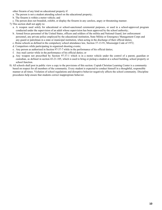other firearm of any kind on educational property if:

- a. The person is not a student attending school on the educational property;
- b. The firearm is within a motor vehicle; and
- c. The person does not brandish, exhibit, or display the firearm in any careless, angry or threatening manner.
- 7) This section shall not apply to:
	- a. A weapon used solely for educational or school-sanctioned ceremonial purposes, or used in a school-approved program conducted under the supervision of an adult whose supervision has been approved by the school authority;
	- b. Armed forces personnel of the United States, officers and soldiers of the militia and National Guard, law enforcement personnel, any private police employed by the educational institution, State Militia or Emergency Management Corps and any guard or patrolman in a state or municipal institution, when acting in the discharge of their official duties;
	- c. Home schools as defined in the compulsory school attendance law, Section 37-13-91, Mississippi Code of 1972;
	- d. Competitors while participating in organized shooting events;
	- e. Any person as authorized in Section 97-37-7 while in the performance of his official duties;
	- f. Any mail carrier while in the performance of his official duties; or
	- g. Any weapon not prescribed by Section 97-37-1 which is in a motor vehicle under the control of a parent, guardian or custodian, as defined in section 43-21-105, which is used to bring or pickup a student at a school building, school property or school function.
- 8) All schools shall post in public view a copy to the provisions of this section. Copiah Christian Learning Center is a community based on respect for all members of the community. Every student is expected to conduct himself in a thoughtful, responsible manner at all times. Violation of school regulations and disruptive behavior negatively affects the school community. Discipline procedures help ensure that students correct inappropriate behavior.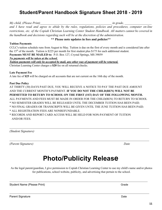# **Student/Parent Handbook Signature Sheet 2018 - 2019**

*My child, (Please Print)*  $\blacksquare$ *and I have read and agree to abide by the rules, regulations, policies and procedures, computer on-line restrictions, etc. of the Copiah Christian Learning Center Student Handbook. All matters cannot be covered in the handbook and decisions regarding such will be at the discretion of the administration.*

### **\*\* Please note updates in fees and policies\*\***

### **Tuition Payments**

CCLC's tuition schedule runs from August to May. Tuition is due on the first of every month and is considered late after the 15<sup>th</sup> of the month. Tuition is \$225 per month for first student plus \$175 for each additional student. **Payments MUST BE MAILED to:** P.O. Box 127, Crystal Springs, MS 39059

### *No payments will be taken at the school.*

*Tuition payments will only be accepted by mail, any other way of payment will be returned.* Christian Learning Center charges a **\$20** fee on all returned checks.

### **Late Payment Fee**

A late fee of **\$25** will be charged on all accounts that are not current on the 16th day of the month.

### **Past Due Policy**

AT THIRTY (30) DAYS PAST DUE, YOU WILL RECEIVE A NOTICE TO PAY THE PAST DUE AMOUNT AND THE CURRENT MONTH'S PAYMENT. **IF YOU DO NOT THE CHILD(REN) WILL NOT BE PERMITTED TO RETURN TO SCHOOL ON THE FIRST (1ST) DAY OF THE FOLLOWING MONTH.** ALL PAYMENTS AND FEES MUST BE MADE IN ORDER FOR THE CHILD(REN) TO RETURN TO SCHOOL \* NO SEMESTER GRADES WILL BE RELEASED UNTIL THE DECEMBER TUITION HAS BEEN PAID. \* NO FINAL GRADES OR TRANSCRIPTS WILL BE GIVEN UNTIL THE JUNE TUITION HAS BEEN PAID.

\* ALL REGISTRATION FEES ARE NONREFUNDABLE.

\* RECORDS AND REPORT CARD ACCESS WILL BE HELD FOR NON-PAYMENT OF TUITION AND/OR FEES.

*(Student Signature)*

*(Parent Signature) Date*

# **Photo/Publicity Release**

 $\_$  , and the contribution of the contribution of the contribution of the contribution of the contribution of  $\mathcal{L}_\text{max}$ 

 $\_$  , and the contribution of the contribution of the contribution of the contribution of the contribution of  $\mathcal{L}_\text{max}$ 

As the legal parent/guardian, I give permission to Copiah Christian Learning Center to use my child's name and/or photos for publications, school website, publicity, and advertising that pertain to the school.

 $\mathcal{L}_\mathcal{L} = \mathcal{L}_\mathcal{L} = \mathcal{L}_\mathcal{L} = \mathcal{L}_\mathcal{L} = \mathcal{L}_\mathcal{L} = \mathcal{L}_\mathcal{L} = \mathcal{L}_\mathcal{L} = \mathcal{L}_\mathcal{L} = \mathcal{L}_\mathcal{L} = \mathcal{L}_\mathcal{L} = \mathcal{L}_\mathcal{L} = \mathcal{L}_\mathcal{L} = \mathcal{L}_\mathcal{L} = \mathcal{L}_\mathcal{L} = \mathcal{L}_\mathcal{L} = \mathcal{L}_\mathcal{L} = \mathcal{L}_\mathcal{L}$ 

 $\_$  , and the contribution of the contribution of the contribution of the contribution of the contribution of  $\mathcal{L}_\text{max}$ 

Student Name (Please Print) Grade Grade Control of the Student Name (Please Print) Grade